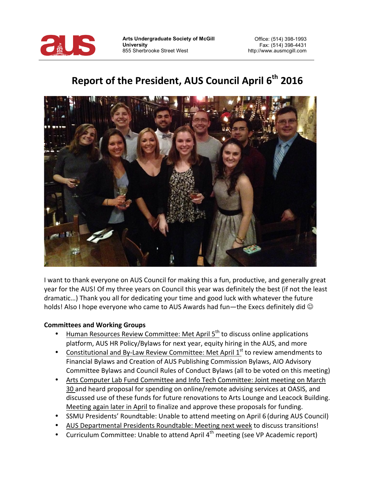

**Arts Undergraduate Society of McGill University** 855 Sherbrooke Street West

# Report of the President, AUS Council April 6<sup>th</sup> 2016



I want to thank everyone on AUS Council for making this a fun, productive, and generally great year for the AUS! Of my three years on Council this year was definitely the best (if not the least dramatic...) Thank you all for dedicating your time and good luck with whatever the future holds! Also I hope everyone who came to AUS Awards had fun—the Execs definitely did  $\odot$ 

#### **Committees and Working Groups**

- Human Resources Review Committee: Met April 5<sup>th</sup> to discuss online applications platform, AUS HR Policy/Bylaws for next year, equity hiring in the AUS, and more
- Constitutional and By-Law Review Committee: Met April  $1<sup>st</sup>$  to review amendments to Financial Bylaws and Creation of AUS Publishing Commission Bylaws, AIO Advisory Committee Bylaws and Council Rules of Conduct Bylaws (all to be voted on this meeting)
- Arts Computer Lab Fund Committee and Info Tech Committee: Joint meeting on March 30 and heard proposal for spending on online/remote advising services at OASIS, and discussed use of these funds for future renovations to Arts Lounge and Leacock Building. Meeting again later in April to finalize and approve these proposals for funding.
- SSMU Presidents' Roundtable: Unable to attend meeting on April 6 (during AUS Council)
- AUS Departmental Presidents Roundtable: Meeting next week to discuss transitions!
- Curriculum Committee: Unable to attend April  $4^{th}$  meeting (see VP Academic report)